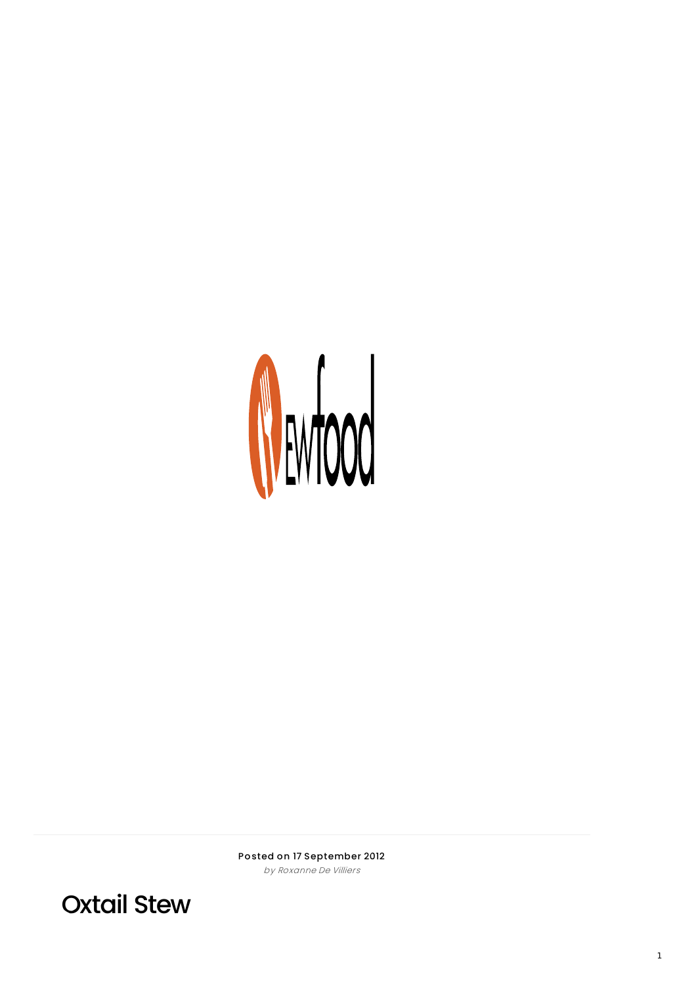

Posted on 17 September 2012 by Roxanne De Villiers